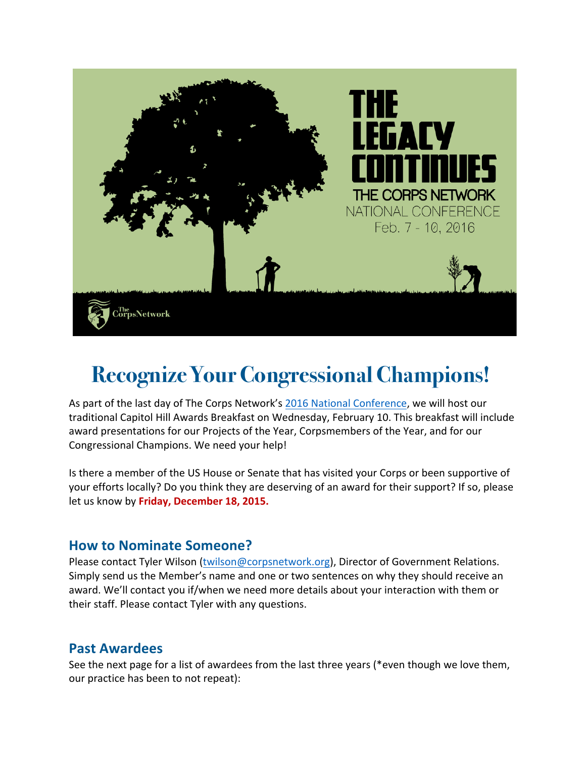

# **Recognize Your Congressional Champions!**

As part of the last day of The Corps Network's 2016 National Conference, we will host our traditional Capitol Hill Awards Breakfast on Wednesday, February 10. This breakfast will include award presentations for our Projects of the Year, Corpsmembers of the Year, and for our Congressional Champions. We need your help!

Is there a member of the US House or Senate that has visited your Corps or been supportive of your efforts locally? Do you think they are deserving of an award for their support? If so, please let us know by Friday, December 18, 2015.

# **How to Nominate Someone?**

Please contact Tyler Wilson (twilson@corpsnetwork.org), Director of Government Relations. Simply send us the Member's name and one or two sentences on why they should receive an award. We'll contact you if/when we need more details about your interaction with them or their staff. Please contact Tyler with any questions.

# **Past Awardees**

See the next page for a list of awardees from the last three years (\*even though we love them, our practice has been to not repeat):